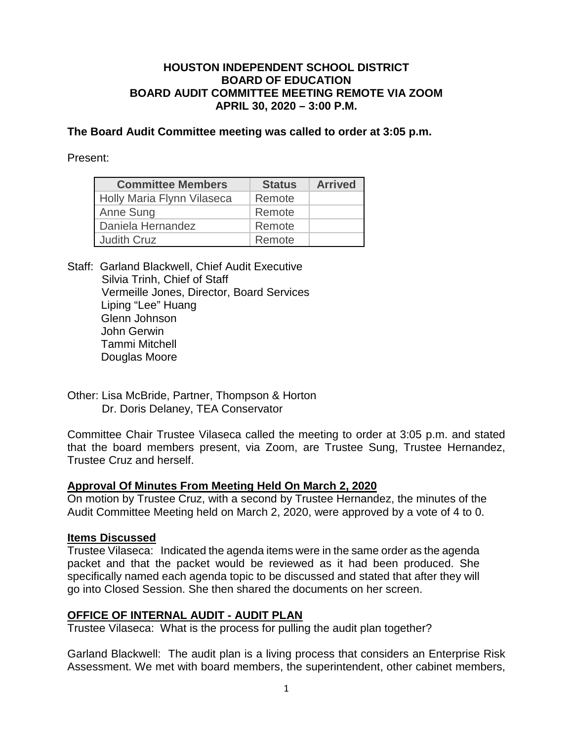## **HOUSTON INDEPENDENT SCHOOL DISTRICT BOARD OF EDUCATION BOARD AUDIT COMMITTEE MEETING REMOTE VIA ZOOM APRIL 30, 2020 – 3:00 P.M.**

**The Board Audit Committee meeting was called to order at 3:05 p.m.**

Present:

| <b>Committee Members</b>   | <b>Status</b> | <b>Arrived</b> |
|----------------------------|---------------|----------------|
| Holly Maria Flynn Vilaseca | Remote        |                |
| Anne Sung                  | Remote        |                |
| Daniela Hernandez          | Remote        |                |
| <b>Judith Cruz</b>         | Remote        |                |

Staff: Garland Blackwell, Chief Audit Executive Silvia Trinh, Chief of Staff Vermeille Jones, Director, Board Services Liping "Lee" Huang Glenn Johnson John Gerwin Tammi Mitchell Douglas Moore

Other: Lisa McBride, Partner, Thompson & Horton Dr. Doris Delaney, TEA Conservator

Committee Chair Trustee Vilaseca called the meeting to order at 3:05 p.m. and stated that the board members present, via Zoom, are Trustee Sung, Trustee Hernandez, Trustee Cruz and herself.

## **Approval Of Minutes From Meeting Held On March 2, 2020**

On motion by Trustee Cruz, with a second by Trustee Hernandez, the minutes of the Audit Committee Meeting held on March 2, 2020, were approved by a vote of 4 to 0.

## **Items Discussed**

Trustee Vilaseca:Indicated the agenda items were in the same order as the agenda packet and that the packet would be reviewed as it had been produced. She specifically named each agenda topic to be discussed and stated that after they will go into Closed Session. She then shared the documents on her screen.

## **OFFICE OF INTERNAL AUDIT - AUDIT PLAN**

Trustee Vilaseca: What is the process for pulling the audit plan together?

Garland Blackwell: The audit plan is a living process that considers an Enterprise Risk Assessment. We met with board members, the superintendent, other cabinet members,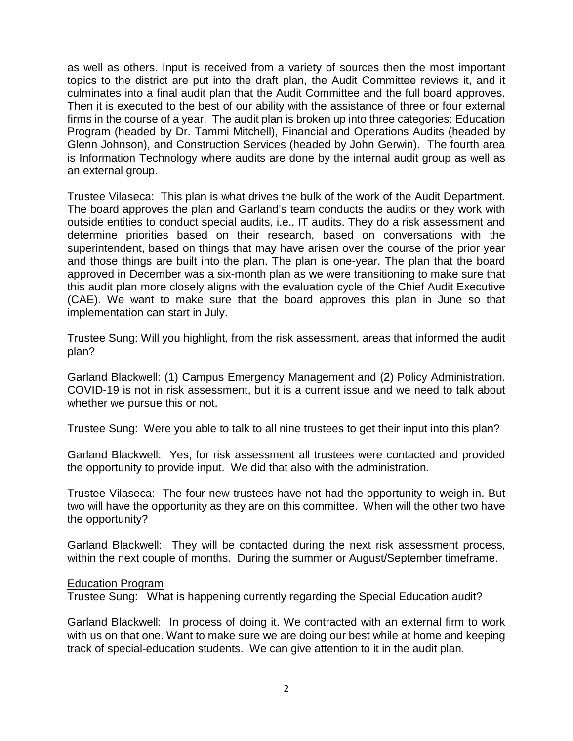as well as others. Input is received from a variety of sources then the most important topics to the district are put into the draft plan, the Audit Committee reviews it, and it culminates into a final audit plan that the Audit Committee and the full board approves. Then it is executed to the best of our ability with the assistance of three or four external firms in the course of a year. The audit plan is broken up into three categories: Education Program (headed by Dr. Tammi Mitchell), Financial and Operations Audits (headed by Glenn Johnson), and Construction Services (headed by John Gerwin). The fourth area is Information Technology where audits are done by the internal audit group as well as an external group.

Trustee Vilaseca: This plan is what drives the bulk of the work of the Audit Department. The board approves the plan and Garland's team conducts the audits or they work with outside entities to conduct special audits, i.e., IT audits. They do a risk assessment and determine priorities based on their research, based on conversations with the superintendent, based on things that may have arisen over the course of the prior year and those things are built into the plan. The plan is one-year. The plan that the board approved in December was a six-month plan as we were transitioning to make sure that this audit plan more closely aligns with the evaluation cycle of the Chief Audit Executive (CAE). We want to make sure that the board approves this plan in June so that implementation can start in July.

Trustee Sung: Will you highlight, from the risk assessment, areas that informed the audit plan?

Garland Blackwell: (1) Campus Emergency Management and (2) Policy Administration. COVID-19 is not in risk assessment, but it is a current issue and we need to talk about whether we pursue this or not.

Trustee Sung: Were you able to talk to all nine trustees to get their input into this plan?

Garland Blackwell: Yes, for risk assessment all trustees were contacted and provided the opportunity to provide input. We did that also with the administration.

Trustee Vilaseca: The four new trustees have not had the opportunity to weigh-in. But two will have the opportunity as they are on this committee. When will the other two have the opportunity?

Garland Blackwell: They will be contacted during the next risk assessment process, within the next couple of months. During the summer or August/September timeframe.

#### Education Program

Trustee Sung: What is happening currently regarding the Special Education audit?

Garland Blackwell: In process of doing it. We contracted with an external firm to work with us on that one. Want to make sure we are doing our best while at home and keeping track of special-education students. We can give attention to it in the audit plan.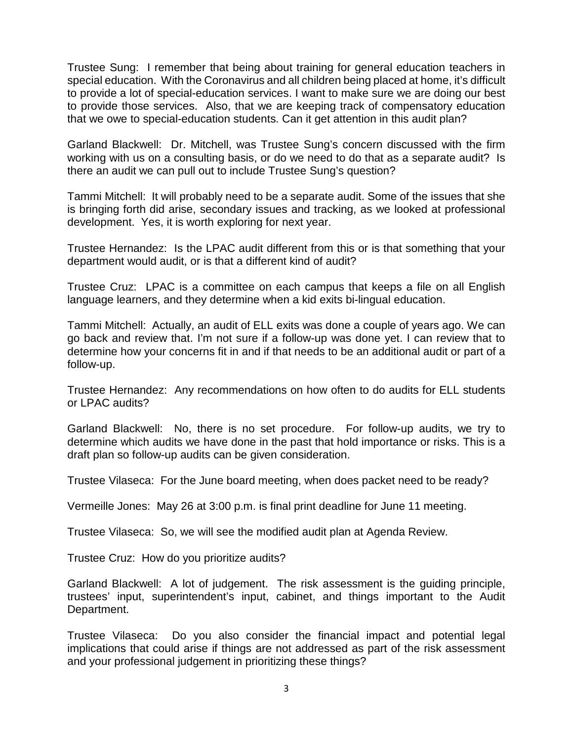Trustee Sung: I remember that being about training for general education teachers in special education. With the Coronavirus and all children being placed at home, it's difficult to provide a lot of special-education services. I want to make sure we are doing our best to provide those services. Also, that we are keeping track of compensatory education that we owe to special-education students. Can it get attention in this audit plan?

Garland Blackwell: Dr. Mitchell, was Trustee Sung's concern discussed with the firm working with us on a consulting basis, or do we need to do that as a separate audit? Is there an audit we can pull out to include Trustee Sung's question?

Tammi Mitchell: It will probably need to be a separate audit. Some of the issues that she is bringing forth did arise, secondary issues and tracking, as we looked at professional development. Yes, it is worth exploring for next year.

Trustee Hernandez: Is the LPAC audit different from this or is that something that your department would audit, or is that a different kind of audit?

Trustee Cruz: LPAC is a committee on each campus that keeps a file on all English language learners, and they determine when a kid exits bi-lingual education.

Tammi Mitchell: Actually, an audit of ELL exits was done a couple of years ago. We can go back and review that. I'm not sure if a follow-up was done yet. I can review that to determine how your concerns fit in and if that needs to be an additional audit or part of a follow-up.

Trustee Hernandez: Any recommendations on how often to do audits for ELL students or LPAC audits?

Garland Blackwell: No, there is no set procedure. For follow-up audits, we try to determine which audits we have done in the past that hold importance or risks. This is a draft plan so follow-up audits can be given consideration.

Trustee Vilaseca: For the June board meeting, when does packet need to be ready?

Vermeille Jones: May 26 at 3:00 p.m. is final print deadline for June 11 meeting.

Trustee Vilaseca: So, we will see the modified audit plan at Agenda Review.

Trustee Cruz: How do you prioritize audits?

Garland Blackwell: A lot of judgement. The risk assessment is the guiding principle, trustees' input, superintendent's input, cabinet, and things important to the Audit Department.

Trustee Vilaseca: Do you also consider the financial impact and potential legal implications that could arise if things are not addressed as part of the risk assessment and your professional judgement in prioritizing these things?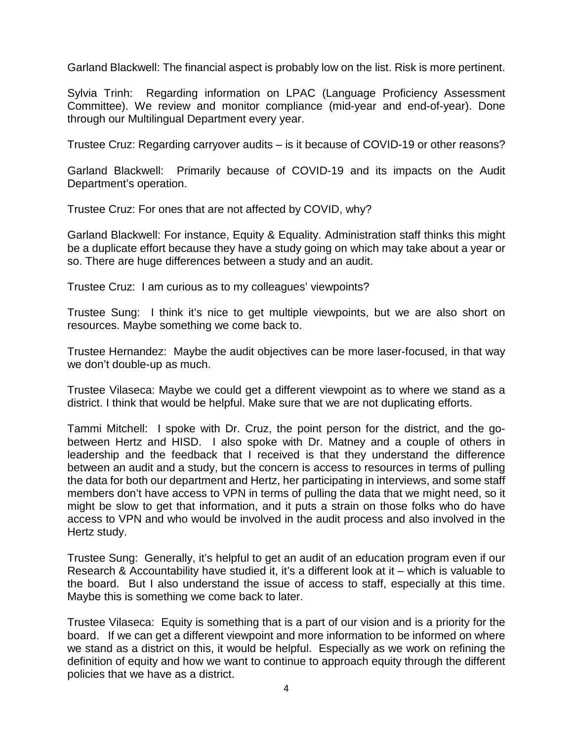Garland Blackwell: The financial aspect is probably low on the list. Risk is more pertinent.

Sylvia Trinh: Regarding information on LPAC (Language Proficiency Assessment Committee). We review and monitor compliance (mid-year and end-of-year). Done through our Multilingual Department every year.

Trustee Cruz: Regarding carryover audits – is it because of COVID-19 or other reasons?

Garland Blackwell: Primarily because of COVID-19 and its impacts on the Audit Department's operation.

Trustee Cruz: For ones that are not affected by COVID, why?

Garland Blackwell: For instance, Equity & Equality. Administration staff thinks this might be a duplicate effort because they have a study going on which may take about a year or so. There are huge differences between a study and an audit.

Trustee Cruz: I am curious as to my colleagues' viewpoints?

Trustee Sung: I think it's nice to get multiple viewpoints, but we are also short on resources. Maybe something we come back to.

Trustee Hernandez: Maybe the audit objectives can be more laser-focused, in that way we don't double-up as much.

Trustee Vilaseca: Maybe we could get a different viewpoint as to where we stand as a district. I think that would be helpful. Make sure that we are not duplicating efforts.

Tammi Mitchell: I spoke with Dr. Cruz, the point person for the district, and the gobetween Hertz and HISD. I also spoke with Dr. Matney and a couple of others in leadership and the feedback that I received is that they understand the difference between an audit and a study, but the concern is access to resources in terms of pulling the data for both our department and Hertz, her participating in interviews, and some staff members don't have access to VPN in terms of pulling the data that we might need, so it might be slow to get that information, and it puts a strain on those folks who do have access to VPN and who would be involved in the audit process and also involved in the Hertz study.

Trustee Sung: Generally, it's helpful to get an audit of an education program even if our Research & Accountability have studied it, it's a different look at it – which is valuable to the board. But I also understand the issue of access to staff, especially at this time. Maybe this is something we come back to later.

Trustee Vilaseca: Equity is something that is a part of our vision and is a priority for the board. If we can get a different viewpoint and more information to be informed on where we stand as a district on this, it would be helpful. Especially as we work on refining the definition of equity and how we want to continue to approach equity through the different policies that we have as a district.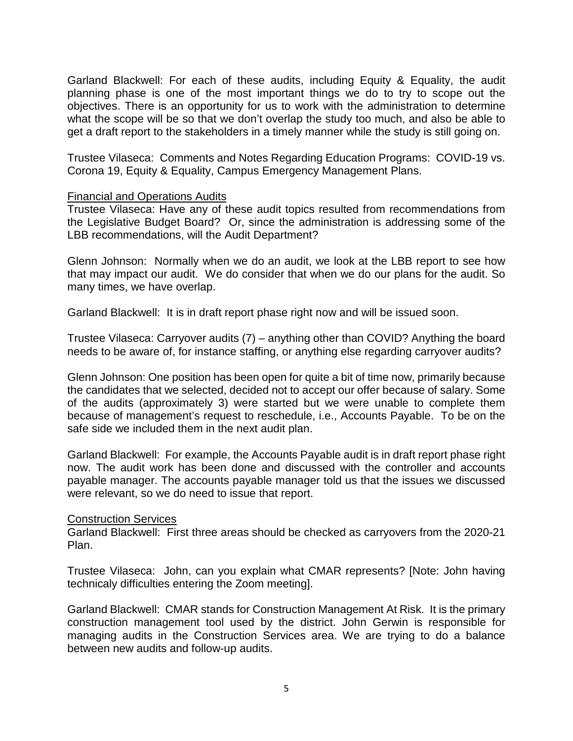Garland Blackwell: For each of these audits, including Equity & Equality, the audit planning phase is one of the most important things we do to try to scope out the objectives. There is an opportunity for us to work with the administration to determine what the scope will be so that we don't overlap the study too much, and also be able to get a draft report to the stakeholders in a timely manner while the study is still going on.

Trustee Vilaseca: Comments and Notes Regarding Education Programs: COVID-19 vs. Corona 19, Equity & Equality, Campus Emergency Management Plans.

### Financial and Operations Audits

Trustee Vilaseca: Have any of these audit topics resulted from recommendations from the Legislative Budget Board? Or, since the administration is addressing some of the LBB recommendations, will the Audit Department?

Glenn Johnson: Normally when we do an audit, we look at the LBB report to see how that may impact our audit. We do consider that when we do our plans for the audit. So many times, we have overlap.

Garland Blackwell: It is in draft report phase right now and will be issued soon.

Trustee Vilaseca: Carryover audits (7) – anything other than COVID? Anything the board needs to be aware of, for instance staffing, or anything else regarding carryover audits?

Glenn Johnson: One position has been open for quite a bit of time now, primarily because the candidates that we selected, decided not to accept our offer because of salary. Some of the audits (approximately 3) were started but we were unable to complete them because of management's request to reschedule, i.e., Accounts Payable. To be on the safe side we included them in the next audit plan.

Garland Blackwell: For example, the Accounts Payable audit is in draft report phase right now. The audit work has been done and discussed with the controller and accounts payable manager. The accounts payable manager told us that the issues we discussed were relevant, so we do need to issue that report.

#### Construction Services

Garland Blackwell: First three areas should be checked as carryovers from the 2020-21 Plan.

Trustee Vilaseca: John, can you explain what CMAR represents? [Note: John having technicaly difficulties entering the Zoom meeting].

Garland Blackwell: CMAR stands for Construction Management At Risk. It is the primary construction management tool used by the district. John Gerwin is responsible for managing audits in the Construction Services area. We are trying to do a balance between new audits and follow-up audits.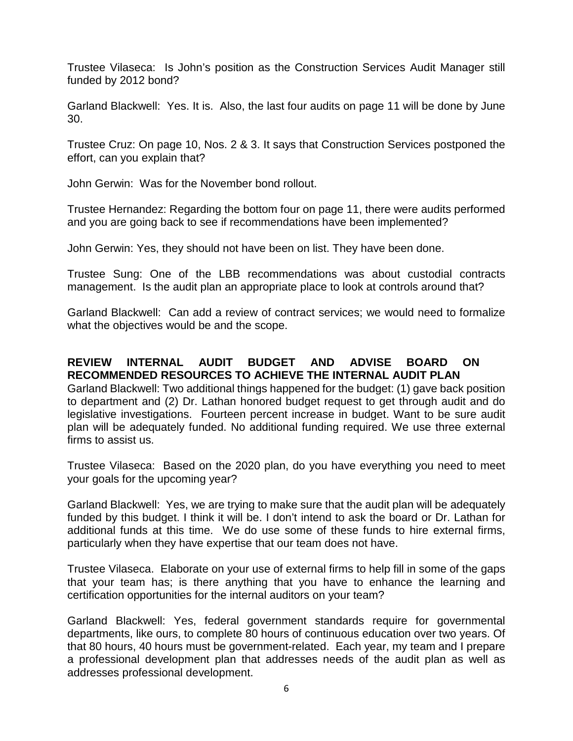Trustee Vilaseca: Is John's position as the Construction Services Audit Manager still funded by 2012 bond?

Garland Blackwell: Yes. It is. Also, the last four audits on page 11 will be done by June 30.

Trustee Cruz: On page 10, Nos. 2 & 3. It says that Construction Services postponed the effort, can you explain that?

John Gerwin: Was for the November bond rollout.

Trustee Hernandez: Regarding the bottom four on page 11, there were audits performed and you are going back to see if recommendations have been implemented?

John Gerwin: Yes, they should not have been on list. They have been done.

Trustee Sung: One of the LBB recommendations was about custodial contracts management. Is the audit plan an appropriate place to look at controls around that?

Garland Blackwell: Can add a review of contract services; we would need to formalize what the objectives would be and the scope.

# **REVIEW INTERNAL AUDIT BUDGET AND ADVISE BOARD ON RECOMMENDED RESOURCES TO ACHIEVE THE INTERNAL AUDIT PLAN**

Garland Blackwell: Two additional things happened for the budget: (1) gave back position to department and (2) Dr. Lathan honored budget request to get through audit and do legislative investigations. Fourteen percent increase in budget. Want to be sure audit plan will be adequately funded. No additional funding required. We use three external firms to assist us.

Trustee Vilaseca: Based on the 2020 plan, do you have everything you need to meet your goals for the upcoming year?

Garland Blackwell: Yes, we are trying to make sure that the audit plan will be adequately funded by this budget. I think it will be. I don't intend to ask the board or Dr. Lathan for additional funds at this time. We do use some of these funds to hire external firms, particularly when they have expertise that our team does not have.

Trustee Vilaseca. Elaborate on your use of external firms to help fill in some of the gaps that your team has; is there anything that you have to enhance the learning and certification opportunities for the internal auditors on your team?

Garland Blackwell: Yes, federal government standards require for governmental departments, like ours, to complete 80 hours of continuous education over two years. Of that 80 hours, 40 hours must be government-related. Each year, my team and I prepare a professional development plan that addresses needs of the audit plan as well as addresses professional development.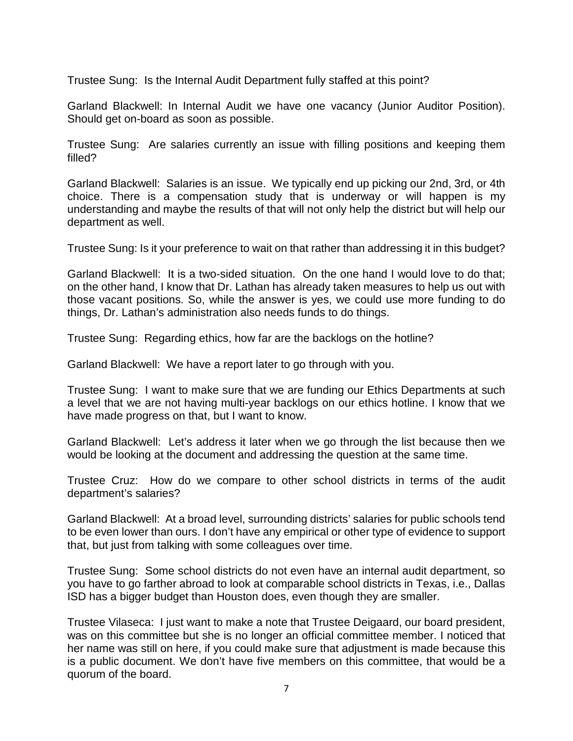Trustee Sung: Is the Internal Audit Department fully staffed at this point?

Garland Blackwell: In Internal Audit we have one vacancy (Junior Auditor Position). Should get on-board as soon as possible.

Trustee Sung: Are salaries currently an issue with filling positions and keeping them filled?

Garland Blackwell: Salaries is an issue. We typically end up picking our 2nd, 3rd, or 4th choice. There is a compensation study that is underway or will happen is my understanding and maybe the results of that will not only help the district but will help our department as well.

Trustee Sung: Is it your preference to wait on that rather than addressing it in this budget?

Garland Blackwell: It is a two-sided situation. On the one hand I would love to do that; on the other hand, I know that Dr. Lathan has already taken measures to help us out with those vacant positions. So, while the answer is yes, we could use more funding to do things, Dr. Lathan's administration also needs funds to do things.

Trustee Sung: Regarding ethics, how far are the backlogs on the hotline?

Garland Blackwell: We have a report later to go through with you.

Trustee Sung: I want to make sure that we are funding our Ethics Departments at such a level that we are not having multi-year backlogs on our ethics hotline. I know that we have made progress on that, but I want to know.

Garland Blackwell: Let's address it later when we go through the list because then we would be looking at the document and addressing the question at the same time.

Trustee Cruz: How do we compare to other school districts in terms of the audit department's salaries?

Garland Blackwell: At a broad level, surrounding districts' salaries for public schools tend to be even lower than ours. I don't have any empirical or other type of evidence to support that, but just from talking with some colleagues over time.

Trustee Sung: Some school districts do not even have an internal audit department, so you have to go farther abroad to look at comparable school districts in Texas, i.e., Dallas ISD has a bigger budget than Houston does, even though they are smaller.

Trustee Vilaseca: I just want to make a note that Trustee Deigaard, our board president, was on this committee but she is no longer an official committee member. I noticed that her name was still on here, if you could make sure that adjustment is made because this is a public document. We don't have five members on this committee, that would be a quorum of the board.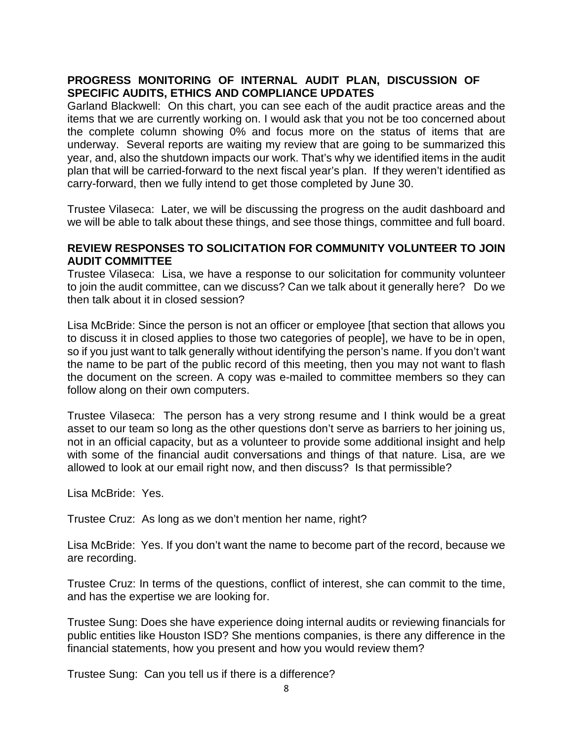# **PROGRESS MONITORING OF INTERNAL AUDIT PLAN, DISCUSSION OF SPECIFIC AUDITS, ETHICS AND COMPLIANCE UPDATES**

Garland Blackwell: On this chart, you can see each of the audit practice areas and the items that we are currently working on. I would ask that you not be too concerned about the complete column showing 0% and focus more on the status of items that are underway. Several reports are waiting my review that are going to be summarized this year, and, also the shutdown impacts our work. That's why we identified items in the audit plan that will be carried-forward to the next fiscal year's plan. If they weren't identified as carry-forward, then we fully intend to get those completed by June 30.

Trustee Vilaseca: Later, we will be discussing the progress on the audit dashboard and we will be able to talk about these things, and see those things, committee and full board.

### **REVIEW RESPONSES TO SOLICITATION FOR COMMUNITY VOLUNTEER TO JOIN AUDIT COMMITTEE**

Trustee Vilaseca: Lisa, we have a response to our solicitation for community volunteer to join the audit committee, can we discuss? Can we talk about it generally here? Do we then talk about it in closed session?

Lisa McBride: Since the person is not an officer or employee [that section that allows you to discuss it in closed applies to those two categories of people], we have to be in open, so if you just want to talk generally without identifying the person's name. If you don't want the name to be part of the public record of this meeting, then you may not want to flash the document on the screen. A copy was e-mailed to committee members so they can follow along on their own computers.

Trustee Vilaseca: The person has a very strong resume and I think would be a great asset to our team so long as the other questions don't serve as barriers to her joining us, not in an official capacity, but as a volunteer to provide some additional insight and help with some of the financial audit conversations and things of that nature. Lisa, are we allowed to look at our email right now, and then discuss? Is that permissible?

Lisa McBride: Yes.

Trustee Cruz: As long as we don't mention her name, right?

Lisa McBride: Yes. If you don't want the name to become part of the record, because we are recording.

Trustee Cruz: In terms of the questions, conflict of interest, she can commit to the time, and has the expertise we are looking for.

Trustee Sung: Does she have experience doing internal audits or reviewing financials for public entities like Houston ISD? She mentions companies, is there any difference in the financial statements, how you present and how you would review them?

Trustee Sung: Can you tell us if there is a difference?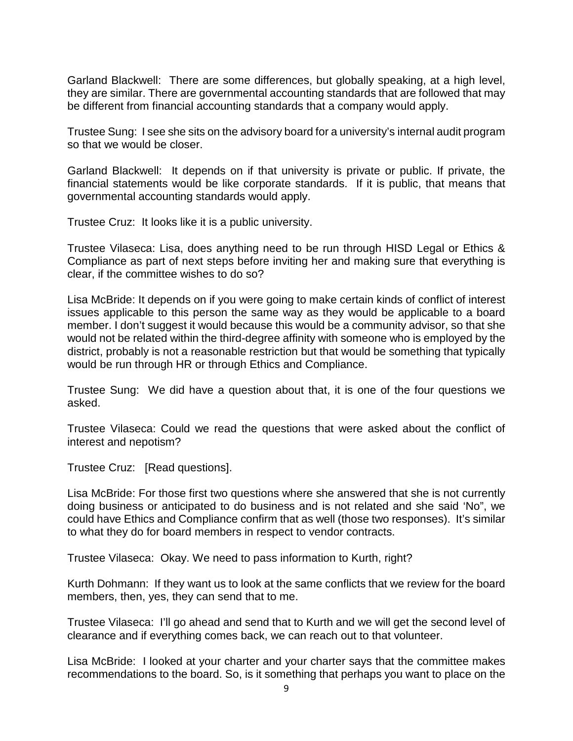Garland Blackwell: There are some differences, but globally speaking, at a high level, they are similar. There are governmental accounting standards that are followed that may be different from financial accounting standards that a company would apply.

Trustee Sung: I see she sits on the advisory board for a university's internal audit program so that we would be closer.

Garland Blackwell: It depends on if that university is private or public. If private, the financial statements would be like corporate standards. If it is public, that means that governmental accounting standards would apply.

Trustee Cruz: It looks like it is a public university.

Trustee Vilaseca: Lisa, does anything need to be run through HISD Legal or Ethics & Compliance as part of next steps before inviting her and making sure that everything is clear, if the committee wishes to do so?

Lisa McBride: It depends on if you were going to make certain kinds of conflict of interest issues applicable to this person the same way as they would be applicable to a board member. I don't suggest it would because this would be a community advisor, so that she would not be related within the third-degree affinity with someone who is employed by the district, probably is not a reasonable restriction but that would be something that typically would be run through HR or through Ethics and Compliance.

Trustee Sung: We did have a question about that, it is one of the four questions we asked.

Trustee Vilaseca: Could we read the questions that were asked about the conflict of interest and nepotism?

Trustee Cruz: [Read questions].

Lisa McBride: For those first two questions where she answered that she is not currently doing business or anticipated to do business and is not related and she said 'No", we could have Ethics and Compliance confirm that as well (those two responses). It's similar to what they do for board members in respect to vendor contracts.

Trustee Vilaseca: Okay. We need to pass information to Kurth, right?

Kurth Dohmann: If they want us to look at the same conflicts that we review for the board members, then, yes, they can send that to me.

Trustee Vilaseca: I'll go ahead and send that to Kurth and we will get the second level of clearance and if everything comes back, we can reach out to that volunteer.

Lisa McBride: I looked at your charter and your charter says that the committee makes recommendations to the board. So, is it something that perhaps you want to place on the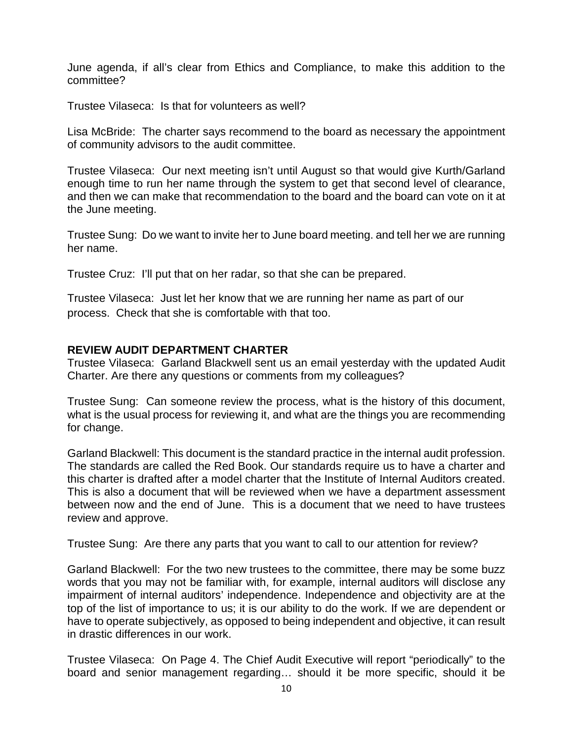June agenda, if all's clear from Ethics and Compliance, to make this addition to the committee?

Trustee Vilaseca: Is that for volunteers as well?

Lisa McBride: The charter says recommend to the board as necessary the appointment of community advisors to the audit committee.

Trustee Vilaseca: Our next meeting isn't until August so that would give Kurth/Garland enough time to run her name through the system to get that second level of clearance, and then we can make that recommendation to the board and the board can vote on it at the June meeting.

Trustee Sung: Do we want to invite her to June board meeting. and tell her we are running her name.

Trustee Cruz: I'll put that on her radar, so that she can be prepared.

Trustee Vilaseca: Just let her know that we are running her name as part of our process. Check that she is comfortable with that too.

## **REVIEW AUDIT DEPARTMENT CHARTER**

Trustee Vilaseca: Garland Blackwell sent us an email yesterday with the updated Audit Charter. Are there any questions or comments from my colleagues?

Trustee Sung: Can someone review the process, what is the history of this document, what is the usual process for reviewing it, and what are the things you are recommending for change.

Garland Blackwell: This document is the standard practice in the internal audit profession. The standards are called the Red Book. Our standards require us to have a charter and this charter is drafted after a model charter that the Institute of Internal Auditors created. This is also a document that will be reviewed when we have a department assessment between now and the end of June. This is a document that we need to have trustees review and approve.

Trustee Sung: Are there any parts that you want to call to our attention for review?

Garland Blackwell: For the two new trustees to the committee, there may be some buzz words that you may not be familiar with, for example, internal auditors will disclose any impairment of internal auditors' independence. Independence and objectivity are at the top of the list of importance to us; it is our ability to do the work. If we are dependent or have to operate subjectively, as opposed to being independent and objective, it can result in drastic differences in our work.

Trustee Vilaseca: On Page 4. The Chief Audit Executive will report "periodically" to the board and senior management regarding… should it be more specific, should it be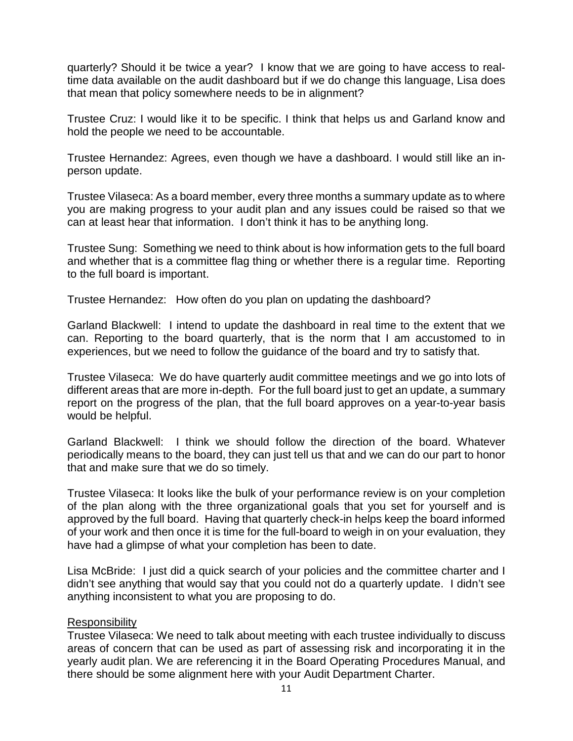quarterly? Should it be twice a year? I know that we are going to have access to realtime data available on the audit dashboard but if we do change this language, Lisa does that mean that policy somewhere needs to be in alignment?

Trustee Cruz: I would like it to be specific. I think that helps us and Garland know and hold the people we need to be accountable.

Trustee Hernandez: Agrees, even though we have a dashboard. I would still like an inperson update.

Trustee Vilaseca: As a board member, every three months a summary update as to where you are making progress to your audit plan and any issues could be raised so that we can at least hear that information. I don't think it has to be anything long.

Trustee Sung: Something we need to think about is how information gets to the full board and whether that is a committee flag thing or whether there is a regular time. Reporting to the full board is important.

Trustee Hernandez: How often do you plan on updating the dashboard?

Garland Blackwell: I intend to update the dashboard in real time to the extent that we can. Reporting to the board quarterly, that is the norm that I am accustomed to in experiences, but we need to follow the guidance of the board and try to satisfy that.

Trustee Vilaseca: We do have quarterly audit committee meetings and we go into lots of different areas that are more in-depth. For the full board just to get an update, a summary report on the progress of the plan, that the full board approves on a year-to-year basis would be helpful.

Garland Blackwell: I think we should follow the direction of the board. Whatever periodically means to the board, they can just tell us that and we can do our part to honor that and make sure that we do so timely.

Trustee Vilaseca: It looks like the bulk of your performance review is on your completion of the plan along with the three organizational goals that you set for yourself and is approved by the full board. Having that quarterly check-in helps keep the board informed of your work and then once it is time for the full-board to weigh in on your evaluation, they have had a glimpse of what your completion has been to date.

Lisa McBride: I just did a quick search of your policies and the committee charter and I didn't see anything that would say that you could not do a quarterly update. I didn't see anything inconsistent to what you are proposing to do.

## **Responsibility**

Trustee Vilaseca: We need to talk about meeting with each trustee individually to discuss areas of concern that can be used as part of assessing risk and incorporating it in the yearly audit plan. We are referencing it in the Board Operating Procedures Manual, and there should be some alignment here with your Audit Department Charter.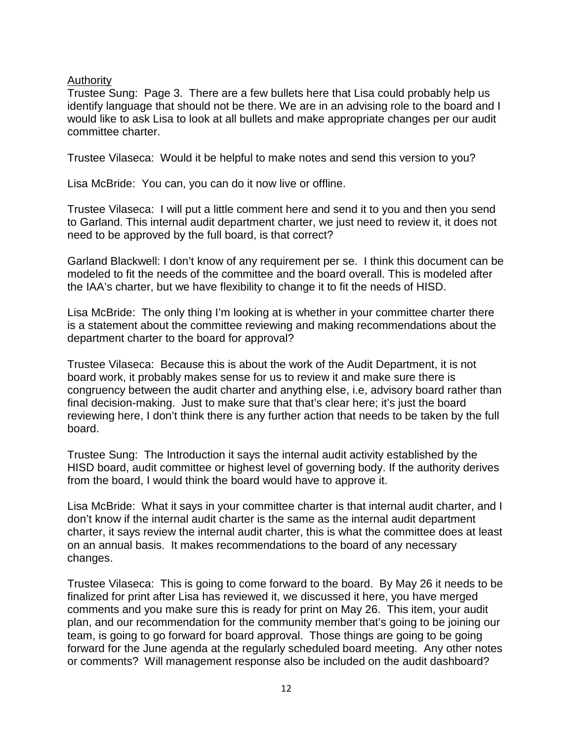Authority

Trustee Sung: Page 3. There are a few bullets here that Lisa could probably help us identify language that should not be there. We are in an advising role to the board and I would like to ask Lisa to look at all bullets and make appropriate changes per our audit committee charter.

Trustee Vilaseca: Would it be helpful to make notes and send this version to you?

Lisa McBride: You can, you can do it now live or offline.

Trustee Vilaseca: I will put a little comment here and send it to you and then you send to Garland. This internal audit department charter, we just need to review it, it does not need to be approved by the full board, is that correct?

Garland Blackwell: I don't know of any requirement per se. I think this document can be modeled to fit the needs of the committee and the board overall. This is modeled after the IAA's charter, but we have flexibility to change it to fit the needs of HISD.

Lisa McBride: The only thing I'm looking at is whether in your committee charter there is a statement about the committee reviewing and making recommendations about the department charter to the board for approval?

Trustee Vilaseca: Because this is about the work of the Audit Department, it is not board work, it probably makes sense for us to review it and make sure there is congruency between the audit charter and anything else, i.e, advisory board rather than final decision-making. Just to make sure that that's clear here; it's just the board reviewing here, I don't think there is any further action that needs to be taken by the full board.

Trustee Sung: The Introduction it says the internal audit activity established by the HISD board, audit committee or highest level of governing body. If the authority derives from the board, I would think the board would have to approve it.

Lisa McBride: What it says in your committee charter is that internal audit charter, and I don't know if the internal audit charter is the same as the internal audit department charter, it says review the internal audit charter, this is what the committee does at least on an annual basis. It makes recommendations to the board of any necessary changes.

Trustee Vilaseca: This is going to come forward to the board. By May 26 it needs to be finalized for print after Lisa has reviewed it, we discussed it here, you have merged comments and you make sure this is ready for print on May 26. This item, your audit plan, and our recommendation for the community member that's going to be joining our team, is going to go forward for board approval. Those things are going to be going forward for the June agenda at the regularly scheduled board meeting. Any other notes or comments? Will management response also be included on the audit dashboard?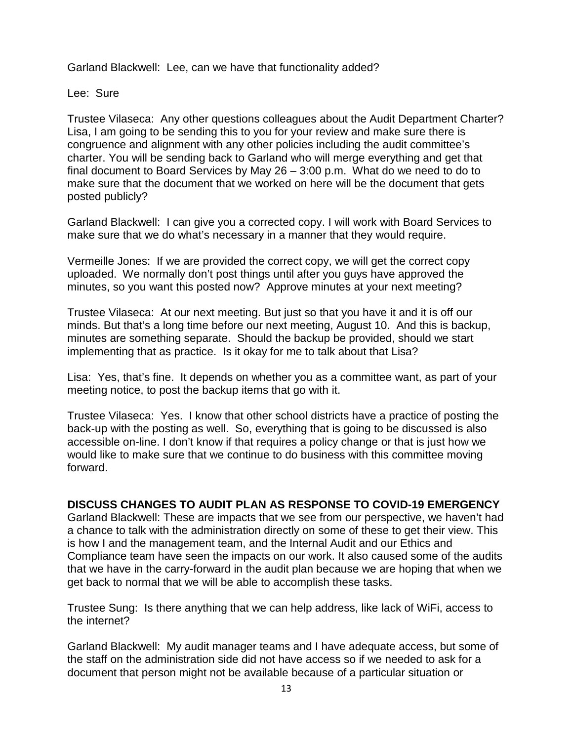Garland Blackwell: Lee, can we have that functionality added?

Lee: Sure

Trustee Vilaseca: Any other questions colleagues about the Audit Department Charter? Lisa, I am going to be sending this to you for your review and make sure there is congruence and alignment with any other policies including the audit committee's charter. You will be sending back to Garland who will merge everything and get that final document to Board Services by May 26 – 3:00 p.m. What do we need to do to make sure that the document that we worked on here will be the document that gets posted publicly?

Garland Blackwell: I can give you a corrected copy. I will work with Board Services to make sure that we do what's necessary in a manner that they would require.

Vermeille Jones: If we are provided the correct copy, we will get the correct copy uploaded. We normally don't post things until after you guys have approved the minutes, so you want this posted now? Approve minutes at your next meeting?

Trustee Vilaseca: At our next meeting. But just so that you have it and it is off our minds. But that's a long time before our next meeting, August 10. And this is backup, minutes are something separate. Should the backup be provided, should we start implementing that as practice. Is it okay for me to talk about that Lisa?

Lisa: Yes, that's fine. It depends on whether you as a committee want, as part of your meeting notice, to post the backup items that go with it.

Trustee Vilaseca: Yes. I know that other school districts have a practice of posting the back-up with the posting as well. So, everything that is going to be discussed is also accessible on-line. I don't know if that requires a policy change or that is just how we would like to make sure that we continue to do business with this committee moving forward.

## **DISCUSS CHANGES TO AUDIT PLAN AS RESPONSE TO COVID-19 EMERGENCY**

Garland Blackwell: These are impacts that we see from our perspective, we haven't had a chance to talk with the administration directly on some of these to get their view. This is how I and the management team, and the Internal Audit and our Ethics and Compliance team have seen the impacts on our work. It also caused some of the audits that we have in the carry-forward in the audit plan because we are hoping that when we get back to normal that we will be able to accomplish these tasks.

Trustee Sung: Is there anything that we can help address, like lack of WiFi, access to the internet?

Garland Blackwell: My audit manager teams and I have adequate access, but some of the staff on the administration side did not have access so if we needed to ask for a document that person might not be available because of a particular situation or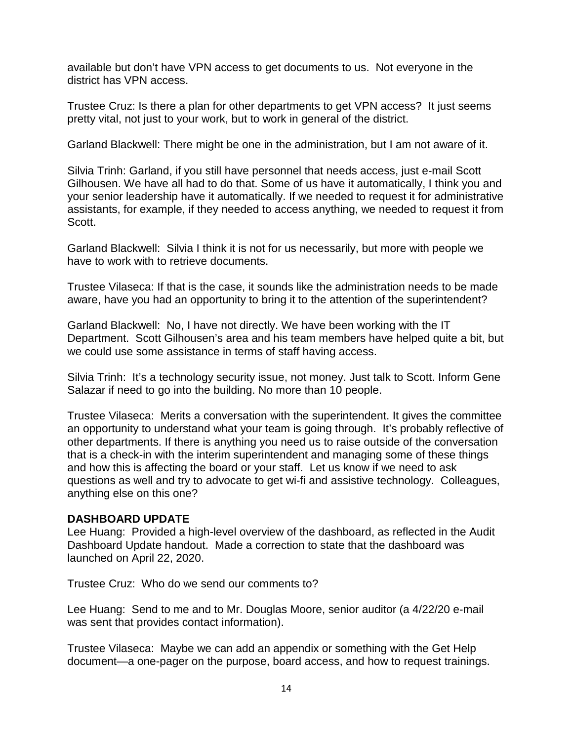available but don't have VPN access to get documents to us. Not everyone in the district has VPN access.

Trustee Cruz: Is there a plan for other departments to get VPN access? It just seems pretty vital, not just to your work, but to work in general of the district.

Garland Blackwell: There might be one in the administration, but I am not aware of it.

Silvia Trinh: Garland, if you still have personnel that needs access, just e-mail Scott Gilhousen. We have all had to do that. Some of us have it automatically, I think you and your senior leadership have it automatically. If we needed to request it for administrative assistants, for example, if they needed to access anything, we needed to request it from Scott.

Garland Blackwell: Silvia I think it is not for us necessarily, but more with people we have to work with to retrieve documents.

Trustee Vilaseca: If that is the case, it sounds like the administration needs to be made aware, have you had an opportunity to bring it to the attention of the superintendent?

Garland Blackwell: No, I have not directly. We have been working with the IT Department. Scott Gilhousen's area and his team members have helped quite a bit, but we could use some assistance in terms of staff having access.

Silvia Trinh: It's a technology security issue, not money. Just talk to Scott. Inform Gene Salazar if need to go into the building. No more than 10 people.

Trustee Vilaseca: Merits a conversation with the superintendent. It gives the committee an opportunity to understand what your team is going through. It's probably reflective of other departments. If there is anything you need us to raise outside of the conversation that is a check-in with the interim superintendent and managing some of these things and how this is affecting the board or your staff. Let us know if we need to ask questions as well and try to advocate to get wi-fi and assistive technology. Colleagues, anything else on this one?

## **DASHBOARD UPDATE**

Lee Huang: Provided a high-level overview of the dashboard, as reflected in the Audit Dashboard Update handout. Made a correction to state that the dashboard was launched on April 22, 2020.

Trustee Cruz: Who do we send our comments to?

Lee Huang: Send to me and to Mr. Douglas Moore, senior auditor (a 4/22/20 e-mail was sent that provides contact information).

Trustee Vilaseca: Maybe we can add an appendix or something with the Get Help document—a one-pager on the purpose, board access, and how to request trainings.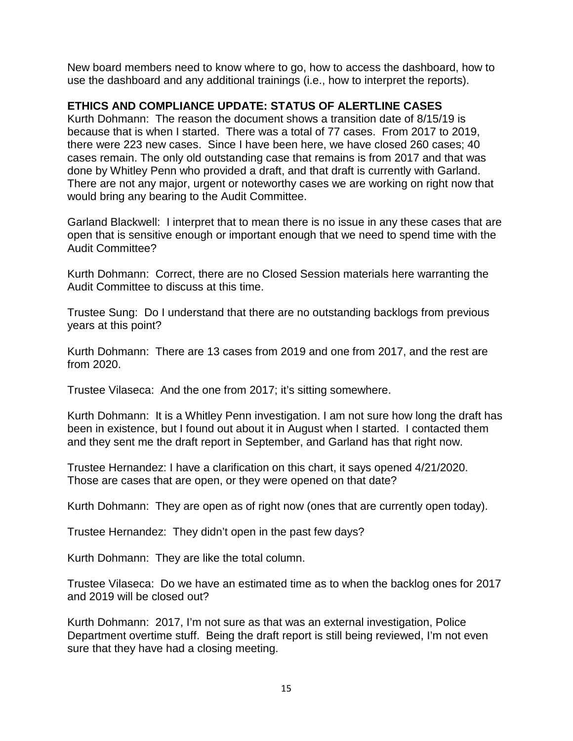New board members need to know where to go, how to access the dashboard, how to use the dashboard and any additional trainings (i.e., how to interpret the reports).

# **ETHICS AND COMPLIANCE UPDATE: STATUS OF ALERTLINE CASES**

Kurth Dohmann: The reason the document shows a transition date of 8/15/19 is because that is when I started. There was a total of 77 cases. From 2017 to 2019, there were 223 new cases. Since I have been here, we have closed 260 cases; 40 cases remain. The only old outstanding case that remains is from 2017 and that was done by Whitley Penn who provided a draft, and that draft is currently with Garland. There are not any major, urgent or noteworthy cases we are working on right now that would bring any bearing to the Audit Committee.

Garland Blackwell: I interpret that to mean there is no issue in any these cases that are open that is sensitive enough or important enough that we need to spend time with the Audit Committee?

Kurth Dohmann: Correct, there are no Closed Session materials here warranting the Audit Committee to discuss at this time.

Trustee Sung: Do I understand that there are no outstanding backlogs from previous years at this point?

Kurth Dohmann: There are 13 cases from 2019 and one from 2017, and the rest are from 2020.

Trustee Vilaseca: And the one from 2017; it's sitting somewhere.

Kurth Dohmann: It is a Whitley Penn investigation. I am not sure how long the draft has been in existence, but I found out about it in August when I started. I contacted them and they sent me the draft report in September, and Garland has that right now.

Trustee Hernandez: I have a clarification on this chart, it says opened 4/21/2020. Those are cases that are open, or they were opened on that date?

Kurth Dohmann: They are open as of right now (ones that are currently open today).

Trustee Hernandez: They didn't open in the past few days?

Kurth Dohmann: They are like the total column.

Trustee Vilaseca: Do we have an estimated time as to when the backlog ones for 2017 and 2019 will be closed out?

Kurth Dohmann: 2017, I'm not sure as that was an external investigation, Police Department overtime stuff. Being the draft report is still being reviewed, I'm not even sure that they have had a closing meeting.